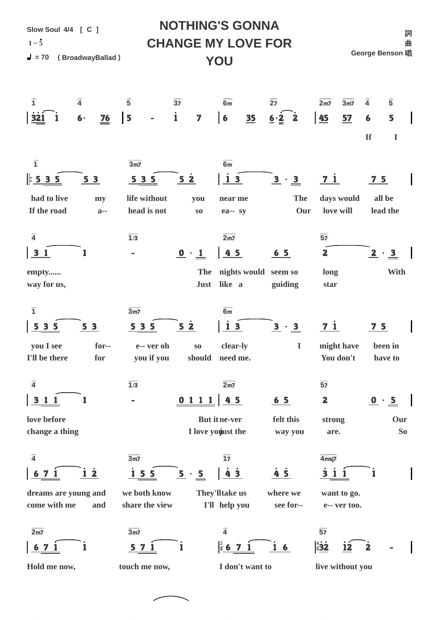| <b>NOTHING'S GONNA</b><br>Slow Soul 4/4 [ C ]<br>詞          |                                                                            |                                            |                                                                                       |                                    |                                           |  |  |  |  |  |
|-------------------------------------------------------------|----------------------------------------------------------------------------|--------------------------------------------|---------------------------------------------------------------------------------------|------------------------------------|-------------------------------------------|--|--|--|--|--|
| $1 - 5$                                                     |                                                                            |                                            | <b>CHANGE MY LOVE FOR</b>                                                             |                                    | 曲                                         |  |  |  |  |  |
| George Benson 唱<br>$= 70$<br>(BroadwayBallad)<br>YOU        |                                                                            |                                            |                                                                                       |                                    |                                           |  |  |  |  |  |
|                                                             |                                                                            |                                            |                                                                                       |                                    |                                           |  |  |  |  |  |
| $\overline{\mathbf{1}}$<br>$\overline{4}$                   | $\overline{5}$<br>$\overline{37}$                                          | 6m                                         | $\overline{27}$                                                                       | 2m <sub>2</sub><br>3 <sub>m7</sub> | $\overline{\mathbf{5}}$<br>$\overline{4}$ |  |  |  |  |  |
| $6 -$<br><b>321</b>                                         | $\mathbf{i}$<br>$\begin{array}{c} \boxed{5} \end{array}$<br>$\frac{76}{2}$ | $\overline{\mathbf{7}}$<br>$6\phantom{1}6$ | $\ddot{\mathbf{2}}$<br>$\overline{\mathbf{35}}$<br>$\underline{6}\cdot \underline{2}$ | 45<br>57                           | 5<br>6                                    |  |  |  |  |  |
|                                                             |                                                                            |                                            |                                                                                       |                                    | <b>If</b><br>$\mathbf I$                  |  |  |  |  |  |
| $\overline{\mathbf{1}}$                                     | 3 <sub>m7</sub>                                                            | 6m                                         |                                                                                       |                                    |                                           |  |  |  |  |  |
| : 535<br>53                                                 | <u>535</u>                                                                 | 5 <sub>2</sub>                             | 13<br>$\overline{\mathbf{3}}$<br>$\cdot \underline{3}$                                | <u>71</u>                          | $\frac{7}{5}$                             |  |  |  |  |  |
| had to live<br>my                                           | life without                                                               | you                                        | near me                                                                               | The<br>days would                  | all be                                    |  |  |  |  |  |
| If the road                                                 | head is not<br>$a-$                                                        | $\mathbf{S}\mathbf{O}$                     | ea-- sy                                                                               | love will<br>Our                   | lead the                                  |  |  |  |  |  |
| $\overline{4}$                                              | $\overline{1/3}$                                                           | 2m <sub>2</sub>                            |                                                                                       | $\overline{57}$                    |                                           |  |  |  |  |  |
| 31                                                          | $\qquad \qquad \blacksquare$                                               | $\mathbf{0} \cdot \mathbf{1}$              | 45<br>$65$                                                                            | $\mathbf{2}$                       | $\overline{2}$<br>$\cdot \underline{3}$   |  |  |  |  |  |
| empty                                                       |                                                                            | The                                        | nights would seem so                                                                  | long                               | With                                      |  |  |  |  |  |
| way for us,                                                 |                                                                            | like a<br><b>Just</b>                      | guiding                                                                               | star                               |                                           |  |  |  |  |  |
| $\overline{\mathbf{1}}$                                     | 3 <sub>m7</sub>                                                            | 6m                                         |                                                                                       |                                    |                                           |  |  |  |  |  |
| 3 <sub>5</sub><br>5 <sub>3</sub><br>$\overline{\mathbf{5}}$ | 5 3 5                                                                      | 5 <sub>2</sub>                             | <u>13</u><br>$\underline{3} \cdot \underline{3}$                                      | $71$                               | <u>75</u>                                 |  |  |  |  |  |
| you I see<br>I'll be there<br>for                           | for--<br>e-- ver oh<br>you if you                                          | $\mathbf{S0}$<br>should need me.           | clear-ly<br>$\bf I$                                                                   | might have<br>You don't            | been in<br>have to                        |  |  |  |  |  |
|                                                             |                                                                            |                                            |                                                                                       |                                    |                                           |  |  |  |  |  |
| $\overline{4}$                                              | $\overline{1/3}$                                                           | 2m <sub>7</sub>                            |                                                                                       | $\overline{57}$                    |                                           |  |  |  |  |  |
| 3 1 1                                                       |                                                                            | 0 1 1 1                                    | $45$<br>$\underline{6}$ 5                                                             | $\mathbf{2}$                       | $\frac{0}{2}$ $\cdot$ $\frac{5}{2}$       |  |  |  |  |  |
| love before<br>change a thing                               |                                                                            | <b>But itne-ver</b><br>I love youust the   | felt this<br>way you                                                                  | strong<br>are.                     | Our<br>So                                 |  |  |  |  |  |
|                                                             |                                                                            |                                            |                                                                                       |                                    |                                           |  |  |  |  |  |
| $\overline{4}$                                              | 3m <sub>2</sub>                                                            | $\overline{17}$                            |                                                                                       | 4 <sub>maj7</sub>                  |                                           |  |  |  |  |  |
| <u>i 2</u><br>$\mathbf{7}$<br>$\overline{\mathbf{6}}$       | $\frac{155}{1}$                                                            | 5<br>$\cdot$ 5                             | $4\overline{5}$<br>$\frac{1}{4}$ 3                                                    | 311                                | ı                                         |  |  |  |  |  |
| dreams are young and<br>come with me<br>and                 | we both know<br>share the view                                             | They'lltake us<br>I'll help you            | where we<br>see for--                                                                 | want to go.<br>e-- ver too.        |                                           |  |  |  |  |  |
| 2m <sub>2</sub>                                             | 3 <sub>m7</sub>                                                            | $\overline{4}$                             |                                                                                       | $\overline{57}$                    |                                           |  |  |  |  |  |
| $67$                                                        | 5 <sub>7</sub>                                                             |                                            | $rac{2}{4}$ 6 7 1<br>16                                                               | $rac{4}{4}$ 32<br>12               | $\mathbf{2}$                              |  |  |  |  |  |
| Hold me now,                                                | touch me now,                                                              |                                            | I don't want to                                                                       | live without you                   |                                           |  |  |  |  |  |